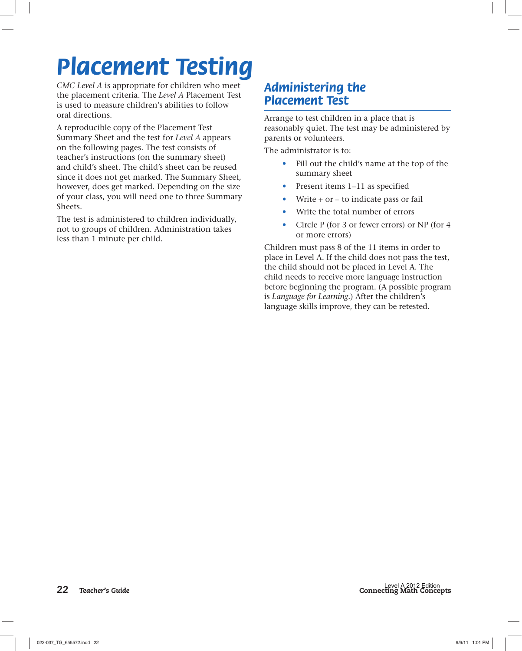## *Placement Testing*

*CMC Level A* is appropriate for children who meet the placement criteria. The *Level A* Placement Test is used to measure children's abilities to follow oral directions.

A reproducible copy of the Placement Test Summary Sheet and the test for *Level A* appears on the following pages. The test consists of teacher's instructions (on the summary sheet) and child's sheet. The child's sheet can be reused since it does not get marked. The Summary Sheet, however, does get marked. Depending on the size of your class, you will need one to three Summary Sheets.

The test is administered to children individually, not to groups of children. Administration takes less than 1 minute per child.

## *Administering the Placement Test*

Arrange to test children in a place that is reasonably quiet. The test may be administered by parents or volunteers.

The administrator is to:

- Fill out the child's name at the top of the summary sheet
- Present items 1–11 as specified
- Write + or to indicate pass or fail
- Write the total number of errors
- Circle P (for 3 or fewer errors) or NP (for 4 or more errors)

Children must pass 8 of the 11 items in order to place in Level A. If the child does not pass the test, the child should not be placed in Level A. The child needs to receive more language instruction before beginning the program. (A possible program is *Language for Learning.*) After the children's language skills improve, they can be retested.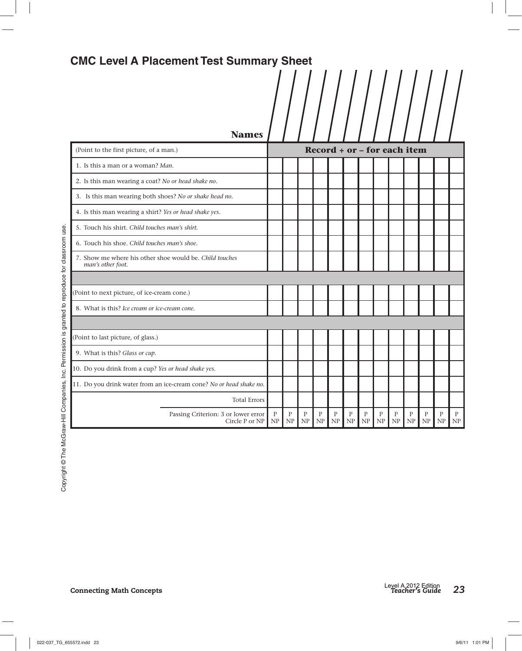## CMC Level A Placement Test Summary Sheet<br>  $\left|\left|\left|\left|\left|\left|\left|\left|\right|\right|\right|\right|\right|\right|\right|\right|\right|$

| <b>Names</b>                                                                 |                                                          |         |                    |                    |         |                    |         |                    |         |         |                    |                    |                    |
|------------------------------------------------------------------------------|----------------------------------------------------------|---------|--------------------|--------------------|---------|--------------------|---------|--------------------|---------|---------|--------------------|--------------------|--------------------|
| (Point to the first picture, of a man.)                                      | $\textbf{Record} + \textbf{or} - \textbf{for each item}$ |         |                    |                    |         |                    |         |                    |         |         |                    |                    |                    |
| 1. Is this a man or a woman? Man.                                            |                                                          |         |                    |                    |         |                    |         |                    |         |         |                    |                    |                    |
| 2. Is this man wearing a coat? No or head shake no.                          |                                                          |         |                    |                    |         |                    |         |                    |         |         |                    |                    |                    |
| 3. Is this man wearing both shoes? No or shake head no.                      |                                                          |         |                    |                    |         |                    |         |                    |         |         |                    |                    |                    |
| 4. Is this man wearing a shirt? Yes or head shake yes.                       |                                                          |         |                    |                    |         |                    |         |                    |         |         |                    |                    |                    |
| 5. Touch his shirt. Child touches man's shirt.                               |                                                          |         |                    |                    |         |                    |         |                    |         |         |                    |                    |                    |
| 6. Touch his shoe. Child touches man's shoe.                                 |                                                          |         |                    |                    |         |                    |         |                    |         |         |                    |                    |                    |
| 7. Show me where his other shoe would be. Child touches<br>man's other foot. |                                                          |         |                    |                    |         |                    |         |                    |         |         |                    |                    |                    |
|                                                                              |                                                          |         |                    |                    |         |                    |         |                    |         |         |                    |                    |                    |
| (Point to next picture, of ice-cream cone.)                                  |                                                          |         |                    |                    |         |                    |         |                    |         |         |                    |                    |                    |
| 8. What is this? Ice cream or ice-cream cone.                                |                                                          |         |                    |                    |         |                    |         |                    |         |         |                    |                    |                    |
|                                                                              |                                                          |         |                    |                    |         |                    |         |                    |         |         |                    |                    |                    |
| (Point to last picture, of glass.)                                           |                                                          |         |                    |                    |         |                    |         |                    |         |         |                    |                    |                    |
| 9. What is this? Glass or cup.                                               |                                                          |         |                    |                    |         |                    |         |                    |         |         |                    |                    |                    |
| 10. Do you drink from a cup? Yes or head shake yes.                          |                                                          |         |                    |                    |         |                    |         |                    |         |         |                    |                    |                    |
| 11. Do you drink water from an ice-cream cone? No or head shake no.          |                                                          |         |                    |                    |         |                    |         |                    |         |         |                    |                    |                    |
| <b>Total Errors</b>                                                          |                                                          |         |                    |                    |         |                    |         |                    |         |         |                    |                    |                    |
| Passing Criterion: 3 or lower error<br>Circle P or NP                        | $\mathbf{P}$<br>NP                                       | P<br>NP | $\mathbf{P}$<br>NP | $\mathbf{P}$<br>NP | P<br>NP | $\mathbf{P}$<br>NP | P<br>NP | $\mathbf{P}$<br>NP | P<br>NP | P<br>NP | $\mathbf{P}$<br>NP | $\mathbf{P}$<br>NP | $\mathbf{P}$<br>NP |